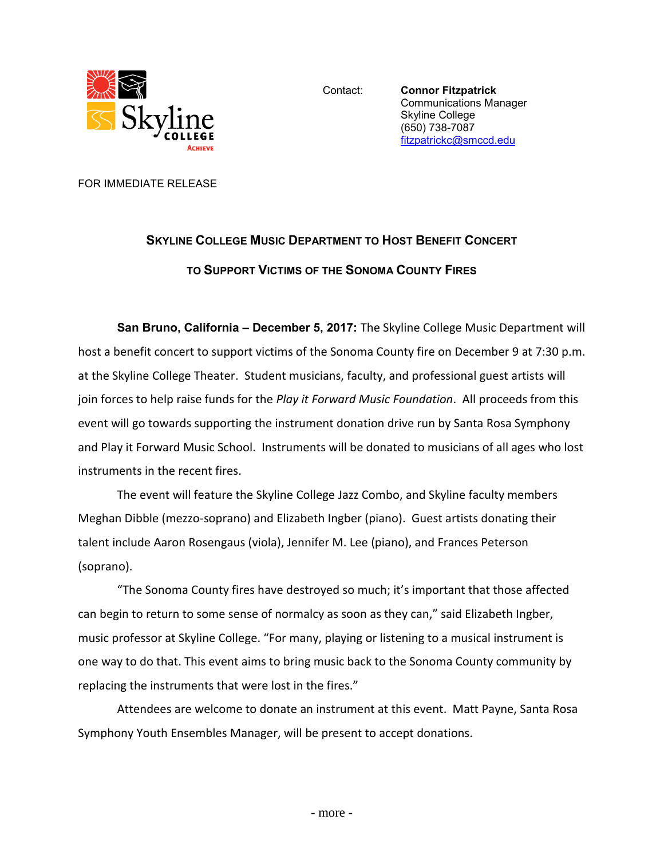

Contact: **Connor Fitzpatrick** Communications Manager Skyline College (650) 738-7087 [fitzpatrickc@smccd.edu](mailto:fitzpatrickc@smccd.edu) 

FOR IMMEDIATE RELEASE

## **SKYLINE COLLEGE MUSIC DEPARTMENT TO HOST BENEFIT CONCERT TO SUPPORT VICTIMS OF THE SONOMA COUNTY FIRES**

**San Bruno, California – December 5, 2017:** The Skyline College Music Department will host a benefit concert to support victims of the Sonoma County fire on December 9 at 7:30 p.m. at the Skyline College Theater. Student musicians, faculty, and professional guest artists will join forces to help raise funds for the *Play it Forward Music Foundation*. All proceeds from this event will go towards supporting the instrument donation drive run by Santa Rosa Symphony and Play it Forward Music School. Instruments will be donated to musicians of all ages who lost instruments in the recent fires.

The event will feature the Skyline College Jazz Combo, and Skyline faculty members Meghan Dibble (mezzo-soprano) and Elizabeth Ingber (piano). Guest artists donating their talent include Aaron Rosengaus (viola), Jennifer M. Lee (piano), and Frances Peterson (soprano).

"The Sonoma County fires have destroyed so much; it's important that those affected can begin to return to some sense of normalcy as soon as they can," said Elizabeth Ingber, music professor at Skyline College. "For many, playing or listening to a musical instrument is one way to do that. This event aims to bring music back to the Sonoma County community by replacing the instruments that were lost in the fires."

Attendees are welcome to donate an instrument at this event. Matt Payne, Santa Rosa Symphony Youth Ensembles Manager, will be present to accept donations.